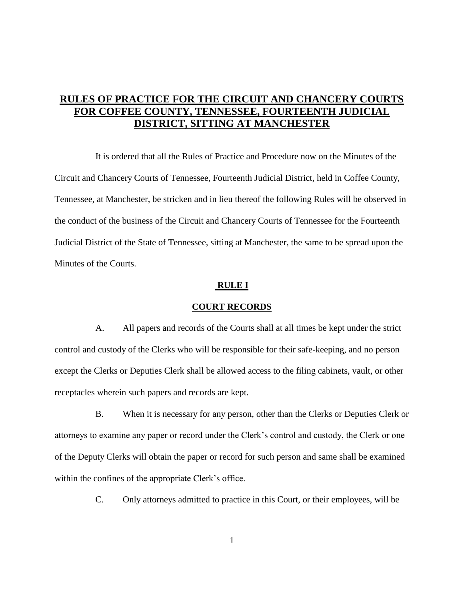# **RULES OF PRACTICE FOR THE CIRCUIT AND CHANCERY COURTS FOR COFFEE COUNTY, TENNESSEE, FOURTEENTH JUDICIAL DISTRICT, SITTING AT MANCHESTER**

It is ordered that all the Rules of Practice and Procedure now on the Minutes of the Circuit and Chancery Courts of Tennessee, Fourteenth Judicial District, held in Coffee County, Tennessee, at Manchester, be stricken and in lieu thereof the following Rules will be observed in the conduct of the business of the Circuit and Chancery Courts of Tennessee for the Fourteenth Judicial District of the State of Tennessee, sitting at Manchester, the same to be spread upon the Minutes of the Courts.

#### **RULE I**

#### **COURT RECORDS**

A. All papers and records of the Courts shall at all times be kept under the strict control and custody of the Clerks who will be responsible for their safe-keeping, and no person except the Clerks or Deputies Clerk shall be allowed access to the filing cabinets, vault, or other receptacles wherein such papers and records are kept.

B. When it is necessary for any person, other than the Clerks or Deputies Clerk or attorneys to examine any paper or record under the Clerk's control and custody, the Clerk or one of the Deputy Clerks will obtain the paper or record for such person and same shall be examined within the confines of the appropriate Clerk's office.

C. Only attorneys admitted to practice in this Court, or their employees, will be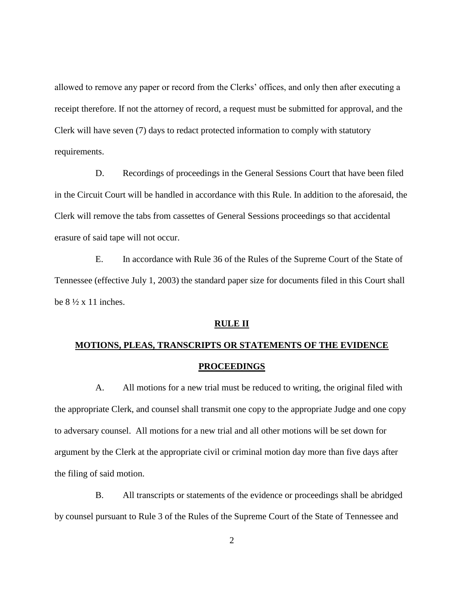allowed to remove any paper or record from the Clerks' offices, and only then after executing a receipt therefore. If not the attorney of record, a request must be submitted for approval, and the Clerk will have seven (7) days to redact protected information to comply with statutory requirements.

D. Recordings of proceedings in the General Sessions Court that have been filed in the Circuit Court will be handled in accordance with this Rule. In addition to the aforesaid, the Clerk will remove the tabs from cassettes of General Sessions proceedings so that accidental erasure of said tape will not occur.

E. In accordance with Rule 36 of the Rules of the Supreme Court of the State of Tennessee (effective July 1, 2003) the standard paper size for documents filed in this Court shall be  $8\frac{1}{2} \times 11$  inches.

## **RULE II**

# **MOTIONS, PLEAS, TRANSCRIPTS OR STATEMENTS OF THE EVIDENCE PROCEEDINGS**

A. All motions for a new trial must be reduced to writing, the original filed with the appropriate Clerk, and counsel shall transmit one copy to the appropriate Judge and one copy to adversary counsel. All motions for a new trial and all other motions will be set down for argument by the Clerk at the appropriate civil or criminal motion day more than five days after the filing of said motion.

B. All transcripts or statements of the evidence or proceedings shall be abridged by counsel pursuant to Rule 3 of the Rules of the Supreme Court of the State of Tennessee and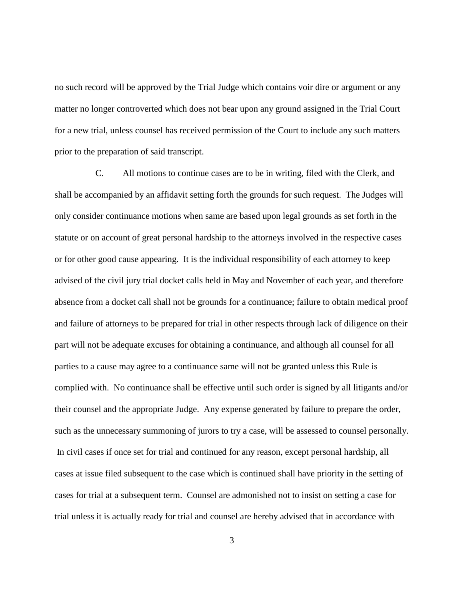no such record will be approved by the Trial Judge which contains voir dire or argument or any matter no longer controverted which does not bear upon any ground assigned in the Trial Court for a new trial, unless counsel has received permission of the Court to include any such matters prior to the preparation of said transcript.

C. All motions to continue cases are to be in writing, filed with the Clerk, and shall be accompanied by an affidavit setting forth the grounds for such request. The Judges will only consider continuance motions when same are based upon legal grounds as set forth in the statute or on account of great personal hardship to the attorneys involved in the respective cases or for other good cause appearing. It is the individual responsibility of each attorney to keep advised of the civil jury trial docket calls held in May and November of each year, and therefore absence from a docket call shall not be grounds for a continuance; failure to obtain medical proof and failure of attorneys to be prepared for trial in other respects through lack of diligence on their part will not be adequate excuses for obtaining a continuance, and although all counsel for all parties to a cause may agree to a continuance same will not be granted unless this Rule is complied with. No continuance shall be effective until such order is signed by all litigants and/or their counsel and the appropriate Judge. Any expense generated by failure to prepare the order, such as the unnecessary summoning of jurors to try a case, will be assessed to counsel personally. In civil cases if once set for trial and continued for any reason, except personal hardship, all cases at issue filed subsequent to the case which is continued shall have priority in the setting of cases for trial at a subsequent term. Counsel are admonished not to insist on setting a case for trial unless it is actually ready for trial and counsel are hereby advised that in accordance with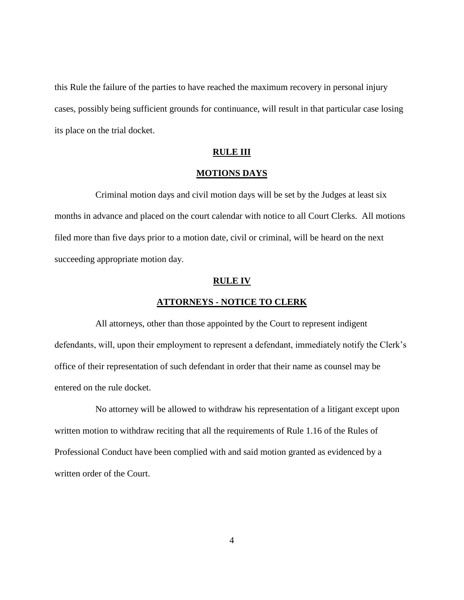this Rule the failure of the parties to have reached the maximum recovery in personal injury cases, possibly being sufficient grounds for continuance, will result in that particular case losing its place on the trial docket.

#### **RULE III**

## **MOTIONS DAYS**

Criminal motion days and civil motion days will be set by the Judges at least six months in advance and placed on the court calendar with notice to all Court Clerks. All motions filed more than five days prior to a motion date, civil or criminal, will be heard on the next succeeding appropriate motion day.

## **RULE IV**

## **ATTORNEYS - NOTICE TO CLERK**

All attorneys, other than those appointed by the Court to represent indigent defendants, will, upon their employment to represent a defendant, immediately notify the Clerk's office of their representation of such defendant in order that their name as counsel may be entered on the rule docket.

No attorney will be allowed to withdraw his representation of a litigant except upon written motion to withdraw reciting that all the requirements of Rule 1.16 of the Rules of Professional Conduct have been complied with and said motion granted as evidenced by a written order of the Court.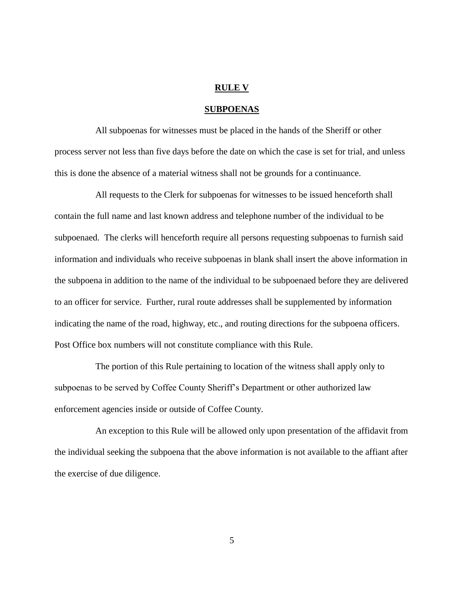## **RULE V**

## **SUBPOENAS**

All subpoenas for witnesses must be placed in the hands of the Sheriff or other process server not less than five days before the date on which the case is set for trial, and unless this is done the absence of a material witness shall not be grounds for a continuance.

All requests to the Clerk for subpoenas for witnesses to be issued henceforth shall contain the full name and last known address and telephone number of the individual to be subpoenaed. The clerks will henceforth require all persons requesting subpoenas to furnish said information and individuals who receive subpoenas in blank shall insert the above information in the subpoena in addition to the name of the individual to be subpoenaed before they are delivered to an officer for service. Further, rural route addresses shall be supplemented by information indicating the name of the road, highway, etc., and routing directions for the subpoena officers. Post Office box numbers will not constitute compliance with this Rule.

The portion of this Rule pertaining to location of the witness shall apply only to subpoenas to be served by Coffee County Sheriff's Department or other authorized law enforcement agencies inside or outside of Coffee County.

An exception to this Rule will be allowed only upon presentation of the affidavit from the individual seeking the subpoena that the above information is not available to the affiant after the exercise of due diligence.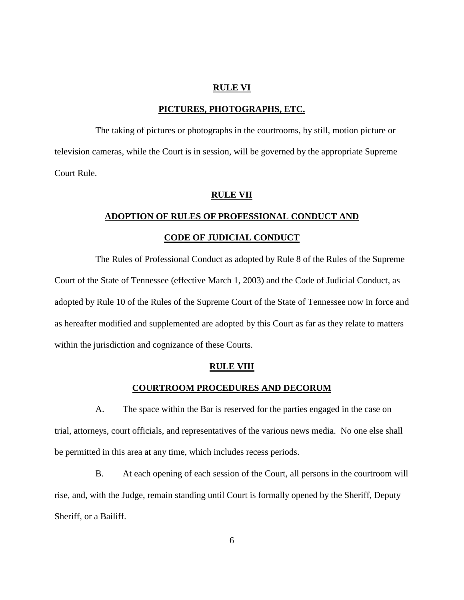## **RULE VI**

## **PICTURES, PHOTOGRAPHS, ETC.**

The taking of pictures or photographs in the courtrooms, by still, motion picture or television cameras, while the Court is in session, will be governed by the appropriate Supreme Court Rule.

#### **RULE VII**

## **ADOPTION OF RULES OF PROFESSIONAL CONDUCT AND**

## **CODE OF JUDICIAL CONDUCT**

The Rules of Professional Conduct as adopted by Rule 8 of the Rules of the Supreme Court of the State of Tennessee (effective March 1, 2003) and the Code of Judicial Conduct, as adopted by Rule 10 of the Rules of the Supreme Court of the State of Tennessee now in force and as hereafter modified and supplemented are adopted by this Court as far as they relate to matters within the jurisdiction and cognizance of these Courts.

## **RULE VIII**

## **COURTROOM PROCEDURES AND DECORUM**

A. The space within the Bar is reserved for the parties engaged in the case on trial, attorneys, court officials, and representatives of the various news media. No one else shall be permitted in this area at any time, which includes recess periods.

B. At each opening of each session of the Court, all persons in the courtroom will rise, and, with the Judge, remain standing until Court is formally opened by the Sheriff, Deputy Sheriff, or a Bailiff.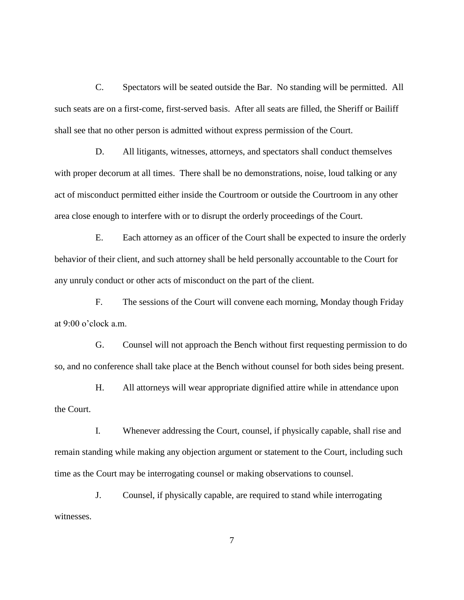C. Spectators will be seated outside the Bar. No standing will be permitted. All such seats are on a first-come, first-served basis. After all seats are filled, the Sheriff or Bailiff shall see that no other person is admitted without express permission of the Court.

D. All litigants, witnesses, attorneys, and spectators shall conduct themselves with proper decorum at all times. There shall be no demonstrations, noise, loud talking or any act of misconduct permitted either inside the Courtroom or outside the Courtroom in any other area close enough to interfere with or to disrupt the orderly proceedings of the Court.

E. Each attorney as an officer of the Court shall be expected to insure the orderly behavior of their client, and such attorney shall be held personally accountable to the Court for any unruly conduct or other acts of misconduct on the part of the client.

F. The sessions of the Court will convene each morning, Monday though Friday at 9:00 o'clock a.m.

G. Counsel will not approach the Bench without first requesting permission to do so, and no conference shall take place at the Bench without counsel for both sides being present.

H. All attorneys will wear appropriate dignified attire while in attendance upon the Court.

I. Whenever addressing the Court, counsel, if physically capable, shall rise and remain standing while making any objection argument or statement to the Court, including such time as the Court may be interrogating counsel or making observations to counsel.

J. Counsel, if physically capable, are required to stand while interrogating witnesses.

7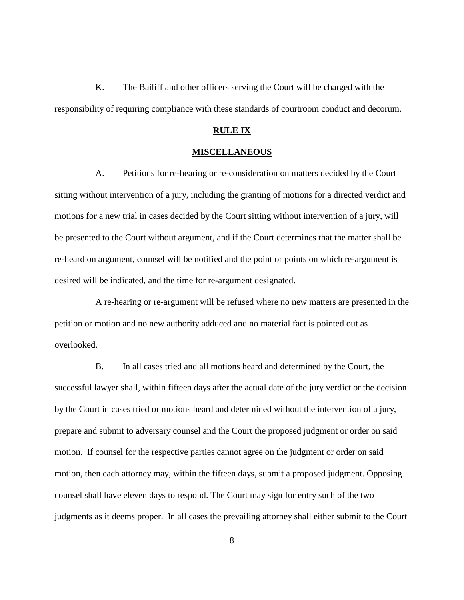K. The Bailiff and other officers serving the Court will be charged with the responsibility of requiring compliance with these standards of courtroom conduct and decorum.

## **RULE IX**

## **MISCELLANEOUS**

A. Petitions for re-hearing or re-consideration on matters decided by the Court sitting without intervention of a jury, including the granting of motions for a directed verdict and motions for a new trial in cases decided by the Court sitting without intervention of a jury, will be presented to the Court without argument, and if the Court determines that the matter shall be re-heard on argument, counsel will be notified and the point or points on which re-argument is desired will be indicated, and the time for re-argument designated.

A re-hearing or re-argument will be refused where no new matters are presented in the petition or motion and no new authority adduced and no material fact is pointed out as overlooked.

B. In all cases tried and all motions heard and determined by the Court, the successful lawyer shall, within fifteen days after the actual date of the jury verdict or the decision by the Court in cases tried or motions heard and determined without the intervention of a jury, prepare and submit to adversary counsel and the Court the proposed judgment or order on said motion. If counsel for the respective parties cannot agree on the judgment or order on said motion, then each attorney may, within the fifteen days, submit a proposed judgment. Opposing counsel shall have eleven days to respond. The Court may sign for entry such of the two judgments as it deems proper. In all cases the prevailing attorney shall either submit to the Court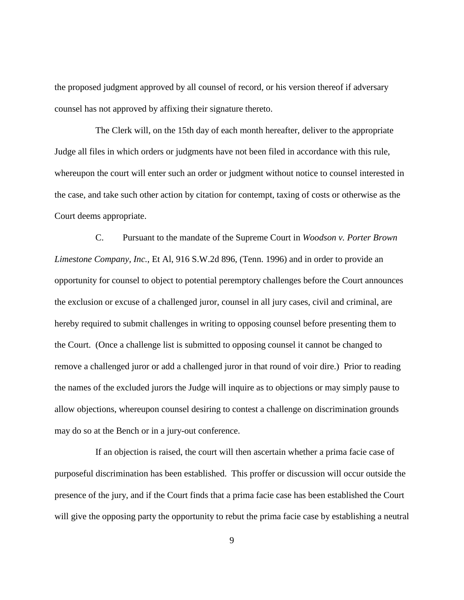the proposed judgment approved by all counsel of record, or his version thereof if adversary counsel has not approved by affixing their signature thereto.

The Clerk will, on the 15th day of each month hereafter, deliver to the appropriate Judge all files in which orders or judgments have not been filed in accordance with this rule, whereupon the court will enter such an order or judgment without notice to counsel interested in the case, and take such other action by citation for contempt, taxing of costs or otherwise as the Court deems appropriate.

C. Pursuant to the mandate of the Supreme Court in *Woodson v. Porter Brown Limestone Company, Inc.*, Et Al, 916 S.W.2d 896, (Tenn. 1996) and in order to provide an opportunity for counsel to object to potential peremptory challenges before the Court announces the exclusion or excuse of a challenged juror, counsel in all jury cases, civil and criminal, are hereby required to submit challenges in writing to opposing counsel before presenting them to the Court. (Once a challenge list is submitted to opposing counsel it cannot be changed to remove a challenged juror or add a challenged juror in that round of voir dire.) Prior to reading the names of the excluded jurors the Judge will inquire as to objections or may simply pause to allow objections, whereupon counsel desiring to contest a challenge on discrimination grounds may do so at the Bench or in a jury-out conference.

If an objection is raised, the court will then ascertain whether a prima facie case of purposeful discrimination has been established. This proffer or discussion will occur outside the presence of the jury, and if the Court finds that a prima facie case has been established the Court will give the opposing party the opportunity to rebut the prima facie case by establishing a neutral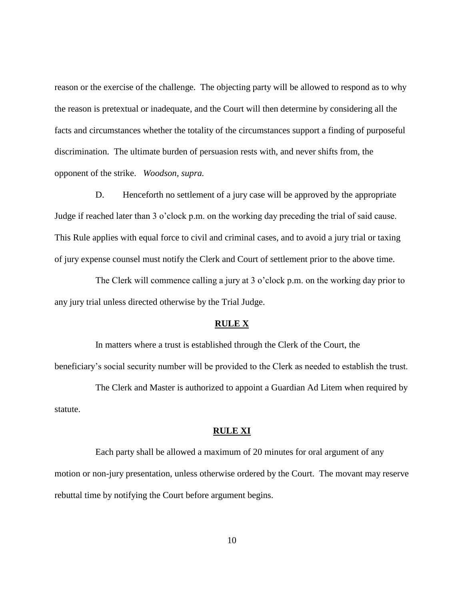reason or the exercise of the challenge. The objecting party will be allowed to respond as to why the reason is pretextual or inadequate, and the Court will then determine by considering all the facts and circumstances whether the totality of the circumstances support a finding of purposeful discrimination. The ultimate burden of persuasion rests with, and never shifts from, the opponent of the strike. *Woodson, supra.*

D. Henceforth no settlement of a jury case will be approved by the appropriate Judge if reached later than 3 o'clock p.m. on the working day preceding the trial of said cause. This Rule applies with equal force to civil and criminal cases, and to avoid a jury trial or taxing of jury expense counsel must notify the Clerk and Court of settlement prior to the above time.

The Clerk will commence calling a jury at 3 o'clock p.m. on the working day prior to any jury trial unless directed otherwise by the Trial Judge.

#### **RULE X**

In matters where a trust is established through the Clerk of the Court, the beneficiary's social security number will be provided to the Clerk as needed to establish the trust.

The Clerk and Master is authorized to appoint a Guardian Ad Litem when required by statute.

## **RULE XI**

Each party shall be allowed a maximum of 20 minutes for oral argument of any motion or non-jury presentation, unless otherwise ordered by the Court. The movant may reserve rebuttal time by notifying the Court before argument begins.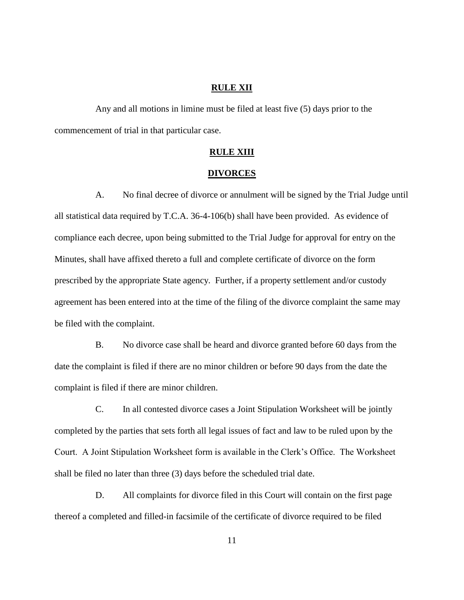## **RULE XII**

Any and all motions in limine must be filed at least five (5) days prior to the commencement of trial in that particular case.

## **RULE XIII**

#### **DIVORCES**

A. No final decree of divorce or annulment will be signed by the Trial Judge until all statistical data required by T.C.A. 36-4-106(b) shall have been provided. As evidence of compliance each decree, upon being submitted to the Trial Judge for approval for entry on the Minutes, shall have affixed thereto a full and complete certificate of divorce on the form prescribed by the appropriate State agency. Further, if a property settlement and/or custody agreement has been entered into at the time of the filing of the divorce complaint the same may be filed with the complaint.

B. No divorce case shall be heard and divorce granted before 60 days from the date the complaint is filed if there are no minor children or before 90 days from the date the complaint is filed if there are minor children.

C. In all contested divorce cases a Joint Stipulation Worksheet will be jointly completed by the parties that sets forth all legal issues of fact and law to be ruled upon by the Court. A Joint Stipulation Worksheet form is available in the Clerk's Office. The Worksheet shall be filed no later than three (3) days before the scheduled trial date.

D. All complaints for divorce filed in this Court will contain on the first page thereof a completed and filled-in facsimile of the certificate of divorce required to be filed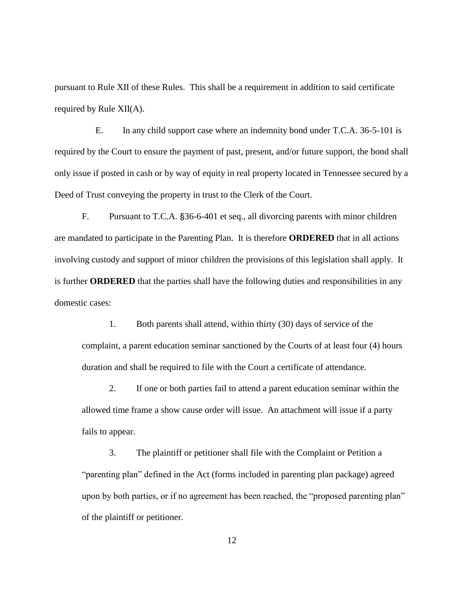pursuant to Rule XII of these Rules. This shall be a requirement in addition to said certificate required by Rule XII(A).

E. In any child support case where an indemnity bond under T.C.A. 36-5-101 is required by the Court to ensure the payment of past, present, and/or future support, the bond shall only issue if posted in cash or by way of equity in real property located in Tennessee secured by a Deed of Trust conveying the property in trust to the Clerk of the Court.

F. Pursuant to T.C.A. §36-6-401 et seq., all divorcing parents with minor children are mandated to participate in the Parenting Plan. It is therefore **ORDERED** that in all actions involving custody and support of minor children the provisions of this legislation shall apply. It is further **ORDERED** that the parties shall have the following duties and responsibilities in any domestic cases:

1. Both parents shall attend, within thirty (30) days of service of the complaint, a parent education seminar sanctioned by the Courts of at least four (4) hours duration and shall be required to file with the Court a certificate of attendance.

2. If one or both parties fail to attend a parent education seminar within the allowed time frame a show cause order will issue. An attachment will issue if a party fails to appear.

3. The plaintiff or petitioner shall file with the Complaint or Petition a "parenting plan" defined in the Act (forms included in parenting plan package) agreed upon by both parties, or if no agreement has been reached, the "proposed parenting plan" of the plaintiff or petitioner.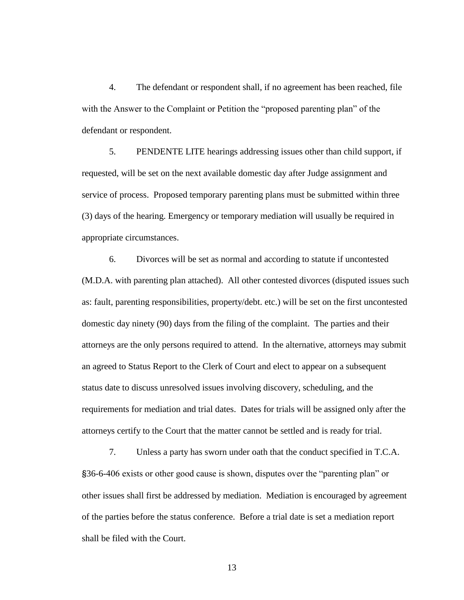4. The defendant or respondent shall, if no agreement has been reached, file with the Answer to the Complaint or Petition the "proposed parenting plan" of the defendant or respondent.

5. PENDENTE LITE hearings addressing issues other than child support, if requested, will be set on the next available domestic day after Judge assignment and service of process. Proposed temporary parenting plans must be submitted within three (3) days of the hearing. Emergency or temporary mediation will usually be required in appropriate circumstances.

6. Divorces will be set as normal and according to statute if uncontested (M.D.A. with parenting plan attached). All other contested divorces (disputed issues such as: fault, parenting responsibilities, property/debt. etc.) will be set on the first uncontested domestic day ninety (90) days from the filing of the complaint. The parties and their attorneys are the only persons required to attend. In the alternative, attorneys may submit an agreed to Status Report to the Clerk of Court and elect to appear on a subsequent status date to discuss unresolved issues involving discovery, scheduling, and the requirements for mediation and trial dates. Dates for trials will be assigned only after the attorneys certify to the Court that the matter cannot be settled and is ready for trial.

7. Unless a party has sworn under oath that the conduct specified in T.C.A. §36-6-406 exists or other good cause is shown, disputes over the "parenting plan" or other issues shall first be addressed by mediation. Mediation is encouraged by agreement of the parties before the status conference. Before a trial date is set a mediation report shall be filed with the Court.

13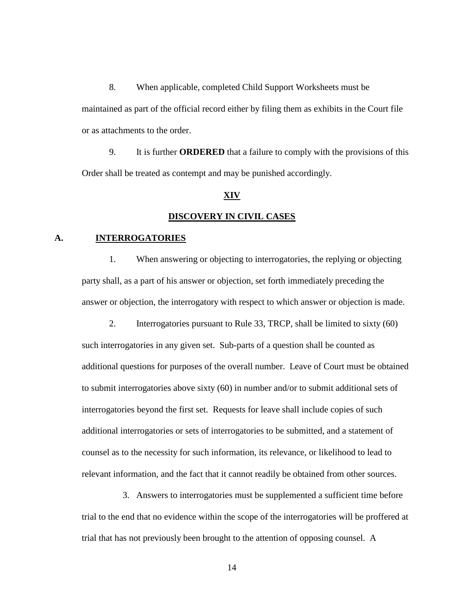8. When applicable, completed Child Support Worksheets must be maintained as part of the official record either by filing them as exhibits in the Court file or as attachments to the order.

9. It is further **ORDERED** that a failure to comply with the provisions of this Order shall be treated as contempt and may be punished accordingly.

## **XIV**

## **DISCOVERY IN CIVIL CASES**

## **A. INTERROGATORIES**

1. When answering or objecting to interrogatories, the replying or objecting party shall, as a part of his answer or objection, set forth immediately preceding the answer or objection, the interrogatory with respect to which answer or objection is made.

2. Interrogatories pursuant to Rule 33, TRCP, shall be limited to sixty (60) such interrogatories in any given set. Sub-parts of a question shall be counted as additional questions for purposes of the overall number. Leave of Court must be obtained to submit interrogatories above sixty (60) in number and/or to submit additional sets of interrogatories beyond the first set. Requests for leave shall include copies of such additional interrogatories or sets of interrogatories to be submitted, and a statement of counsel as to the necessity for such information, its relevance, or likelihood to lead to relevant information, and the fact that it cannot readily be obtained from other sources.

3. Answers to interrogatories must be supplemented a sufficient time before trial to the end that no evidence within the scope of the interrogatories will be proffered at trial that has not previously been brought to the attention of opposing counsel. A

14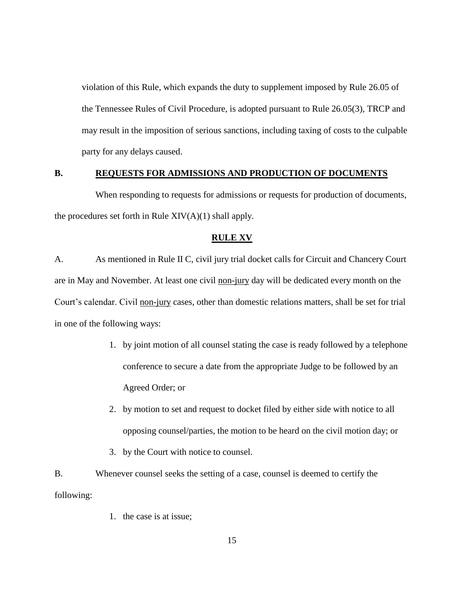violation of this Rule, which expands the duty to supplement imposed by Rule 26.05 of the Tennessee Rules of Civil Procedure, is adopted pursuant to Rule 26.05(3), TRCP and may result in the imposition of serious sanctions, including taxing of costs to the culpable party for any delays caused.

#### **B. REQUESTS FOR ADMISSIONS AND PRODUCTION OF DOCUMENTS**

When responding to requests for admissions or requests for production of documents, the procedures set forth in Rule  $XIV(A)(1)$  shall apply.

## **RULE XV**

A. As mentioned in Rule II C, civil jury trial docket calls for Circuit and Chancery Court are in May and November. At least one civil non-jury day will be dedicated every month on the Court's calendar. Civil non-jury cases, other than domestic relations matters, shall be set for trial in one of the following ways:

- 1. by joint motion of all counsel stating the case is ready followed by a telephone conference to secure a date from the appropriate Judge to be followed by an Agreed Order; or
- 2. by motion to set and request to docket filed by either side with notice to all opposing counsel/parties, the motion to be heard on the civil motion day; or
- 3. by the Court with notice to counsel.
- B. Whenever counsel seeks the setting of a case, counsel is deemed to certify the following:
	- 1. the case is at issue;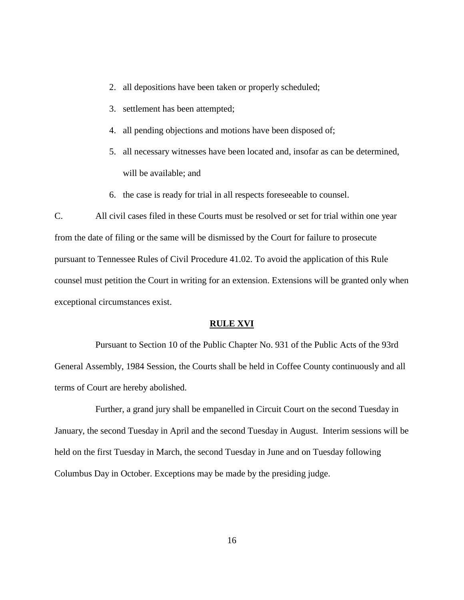- 2. all depositions have been taken or properly scheduled;
- 3. settlement has been attempted;
- 4. all pending objections and motions have been disposed of;
- 5. all necessary witnesses have been located and, insofar as can be determined, will be available; and
- 6. the case is ready for trial in all respects foreseeable to counsel.

C. All civil cases filed in these Courts must be resolved or set for trial within one year from the date of filing or the same will be dismissed by the Court for failure to prosecute pursuant to Tennessee Rules of Civil Procedure 41.02. To avoid the application of this Rule counsel must petition the Court in writing for an extension. Extensions will be granted only when exceptional circumstances exist.

#### **RULE XVI**

Pursuant to Section 10 of the Public Chapter No. 931 of the Public Acts of the 93rd General Assembly, 1984 Session, the Courts shall be held in Coffee County continuously and all terms of Court are hereby abolished.

Further, a grand jury shall be empanelled in Circuit Court on the second Tuesday in January, the second Tuesday in April and the second Tuesday in August. Interim sessions will be held on the first Tuesday in March, the second Tuesday in June and on Tuesday following Columbus Day in October. Exceptions may be made by the presiding judge.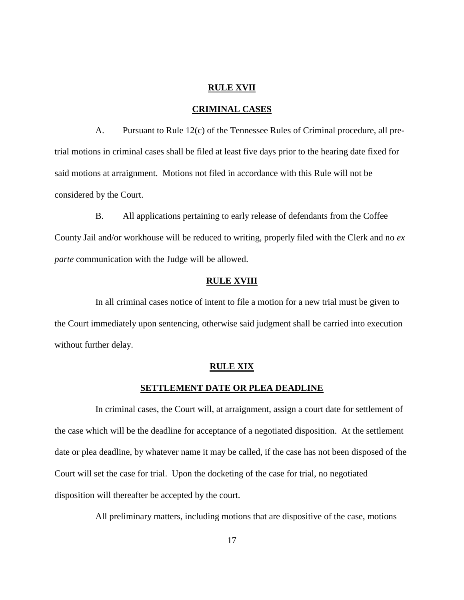## **RULE XVII**

## **CRIMINAL CASES**

A. Pursuant to Rule 12(c) of the Tennessee Rules of Criminal procedure, all pretrial motions in criminal cases shall be filed at least five days prior to the hearing date fixed for said motions at arraignment. Motions not filed in accordance with this Rule will not be considered by the Court.

B. All applications pertaining to early release of defendants from the Coffee County Jail and/or workhouse will be reduced to writing, properly filed with the Clerk and no *ex parte* communication with the Judge will be allowed.

## **RULE XVIII**

In all criminal cases notice of intent to file a motion for a new trial must be given to the Court immediately upon sentencing, otherwise said judgment shall be carried into execution without further delay.

## **RULE XIX**

## **SETTLEMENT DATE OR PLEA DEADLINE**

In criminal cases, the Court will, at arraignment, assign a court date for settlement of the case which will be the deadline for acceptance of a negotiated disposition. At the settlement date or plea deadline, by whatever name it may be called, if the case has not been disposed of the Court will set the case for trial. Upon the docketing of the case for trial, no negotiated disposition will thereafter be accepted by the court.

All preliminary matters, including motions that are dispositive of the case, motions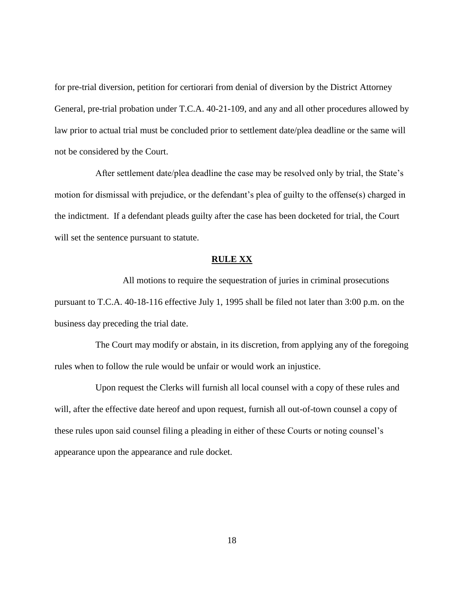for pre-trial diversion, petition for certiorari from denial of diversion by the District Attorney General, pre-trial probation under T.C.A. 40-21-109, and any and all other procedures allowed by law prior to actual trial must be concluded prior to settlement date/plea deadline or the same will not be considered by the Court.

After settlement date/plea deadline the case may be resolved only by trial, the State's motion for dismissal with prejudice, or the defendant's plea of guilty to the offense(s) charged in the indictment. If a defendant pleads guilty after the case has been docketed for trial, the Court will set the sentence pursuant to statute.

## **RULE XX**

All motions to require the sequestration of juries in criminal prosecutions pursuant to T.C.A. 40-18-116 effective July 1, 1995 shall be filed not later than 3:00 p.m. on the business day preceding the trial date.

The Court may modify or abstain, in its discretion, from applying any of the foregoing rules when to follow the rule would be unfair or would work an injustice.

Upon request the Clerks will furnish all local counsel with a copy of these rules and will, after the effective date hereof and upon request, furnish all out-of-town counsel a copy of these rules upon said counsel filing a pleading in either of these Courts or noting counsel's appearance upon the appearance and rule docket.